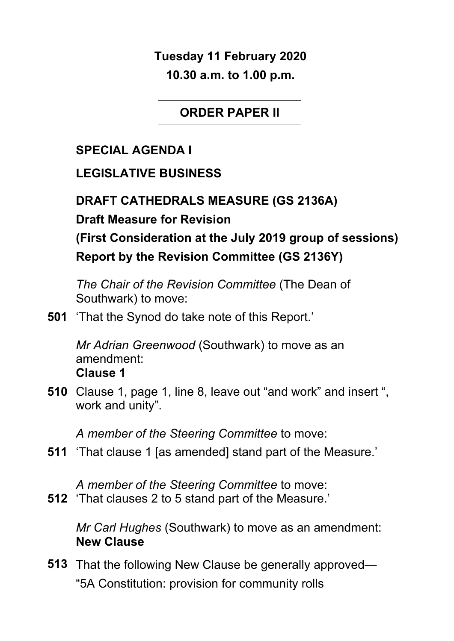**Tuesday 11 February 2020 10.30 a.m. to 1.00 p.m.**

#### **ORDER PAPER II**

## **SPECIAL AGENDA I**

#### **LEGISLATIVE BUSINESS**

**DRAFT CATHEDRALS MEASURE (GS 2136A)**

**Draft Measure for Revision**

**(First Consideration at the July 2019 group of sessions) Report by the Revision Committee (GS 2136Y)**

*The Chair of the Revision Committee* (The Dean of Southwark) to move:

**501** 'That the Synod do take note of this Report.'

*Mr Adrian Greenwood* (Southwark) to move as an amendment: **Clause 1**

**510** Clause 1, page 1, line 8, leave out "and work" and insert ", work and unity".

*A member of the Steering Committee* to move:

**511** 'That clause 1 [as amended] stand part of the Measure.'

*A member of the Steering Committee* to move:

**512** 'That clauses 2 to 5 stand part of the Measure.'

*Mr Carl Hughes* (Southwark) to move as an amendment: **New Clause**

**513** That the following New Clause be generally approved— "5A Constitution: provision for community rolls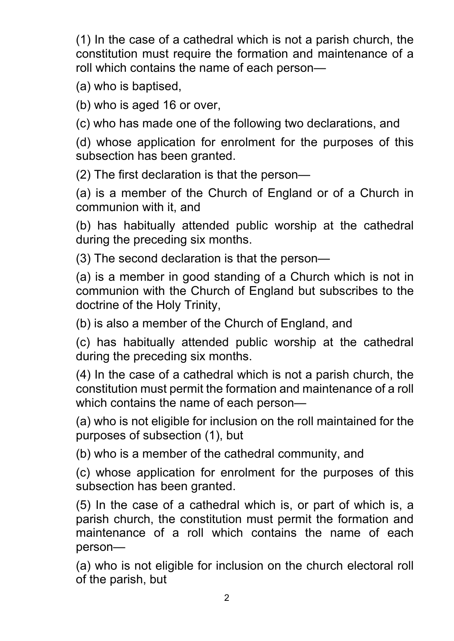(1) In the case of a cathedral which is not a parish church, the constitution must require the formation and maintenance of a roll which contains the name of each person—

(a) who is baptised,

(b) who is aged 16 or over,

(c) who has made one of the following two declarations, and

(d) whose application for enrolment for the purposes of this subsection has been granted.

(2) The first declaration is that the person—

(a) is a member of the Church of England or of a Church in communion with it, and

(b) has habitually attended public worship at the cathedral during the preceding six months.

(3) The second declaration is that the person—

(a) is a member in good standing of a Church which is not in communion with the Church of England but subscribes to the doctrine of the Holy Trinity,

(b) is also a member of the Church of England, and

(c) has habitually attended public worship at the cathedral during the preceding six months.

(4) In the case of a cathedral which is not a parish church, the constitution must permit the formation and maintenance of a roll which contains the name of each person—

(a) who is not eligible for inclusion on the roll maintained for the purposes of subsection (1), but

(b) who is a member of the cathedral community, and

(c) whose application for enrolment for the purposes of this subsection has been granted.

(5) In the case of a cathedral which is, or part of which is, a parish church, the constitution must permit the formation and maintenance of a roll which contains the name of each person—

(a) who is not eligible for inclusion on the church electoral roll of the parish, but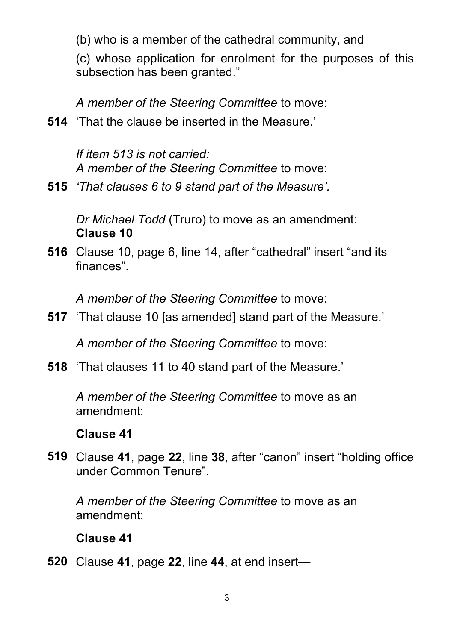(b) who is a member of the cathedral community, and

(c) whose application for enrolment for the purposes of this subsection has been granted."

*A member of the Steering Committee* to move:

**514** 'That the clause be inserted in the Measure.'

*If item 513 is not carried: A member of the Steering Committee* to move:

**515** *'That clauses 6 to 9 stand part of the Measure'.* 

*Dr Michael Todd* (Truro) to move as an amendment: **Clause 10**

**516** Clause 10, page 6, line 14, after "cathedral" insert "and its finances".

*A member of the Steering Committee* to move:

**517** 'That clause 10 [as amended] stand part of the Measure.'

*A member of the Steering Committee* to move:

**518** 'That clauses 11 to 40 stand part of the Measure.'

*A member of the Steering Committee* to move as an amendment:

#### **Clause 41**

**519** Clause **41**, page **22**, line **38**, after "canon" insert "holding office under Common Tenure".

*A member of the Steering Committee* to move as an amendment:

### **Clause 41**

**520** Clause **41**, page **22**, line **44**, at end insert—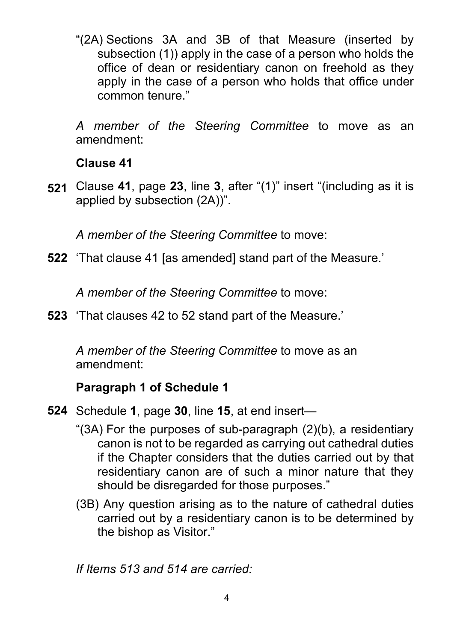"(2A) Sections 3A and 3B of that Measure (inserted by subsection (1)) apply in the case of a person who holds the office of dean or residentiary canon on freehold as they apply in the case of a person who holds that office under common tenure."

*A member of the Steering Committee* to move as an amendment:

#### **Clause 41**

**521** Clause **41**, page **23**, line **3**, after "(1)" insert "(including as it is applied by subsection (2A))".

*A member of the Steering Committee* to move:

**522** 'That clause 41 [as amended] stand part of the Measure.'

*A member of the Steering Committee* to move:

**523** 'That clauses 42 to 52 stand part of the Measure.'

*A member of the Steering Committee* to move as an amendment:

### **Paragraph 1 of Schedule 1**

- **524** Schedule **1**, page **30**, line **15**, at end insert—
	- "(3A) For the purposes of sub-paragraph (2)(b), a residentiary canon is not to be regarded as carrying out cathedral duties if the Chapter considers that the duties carried out by that residentiary canon are of such a minor nature that they should be disregarded for those purposes."
	- (3B) Any question arising as to the nature of cathedral duties carried out by a residentiary canon is to be determined by the bishop as Visitor."

*If Items 513 and 514 are carried:*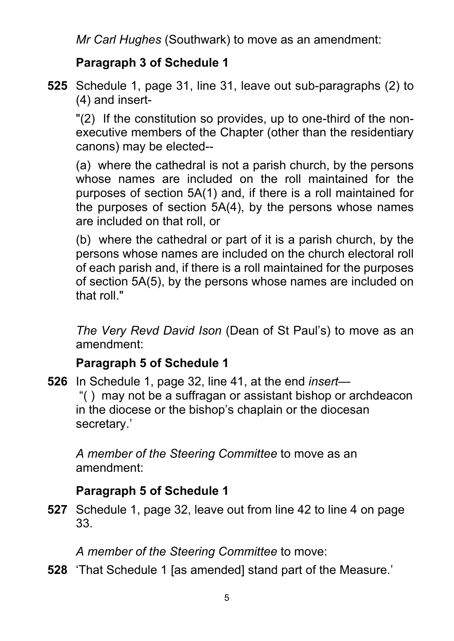*Mr Carl Hughes* (Southwark) to move as an amendment:

### **Paragraph 3 of Schedule 1**

**525** Schedule 1, page 31, line 31, leave out sub-paragraphs (2) to (4) and insert-

"(2) If the constitution so provides, up to one-third of the nonexecutive members of the Chapter (other than the residentiary canons) may be elected--

(a) where the cathedral is not a parish church, by the persons whose names are included on the roll maintained for the purposes of section 5A(1) and, if there is a roll maintained for the purposes of section 5A(4), by the persons whose names are included on that roll, or

(b) where the cathedral or part of it is a parish church, by the persons whose names are included on the church electoral roll of each parish and, if there is a roll maintained for the purposes of section 5A(5), by the persons whose names are included on that roll."

*The Very Revd David Ison* (Dean of St Paul's) to move as an amendment:

### **Paragraph 5 of Schedule 1**

**526** In Schedule 1, page 32, line 41, at the end *insert*— "( ) may not be a suffragan or assistant bishop or archdeacon in the diocese or the bishop's chaplain or the diocesan secretary.'

*A member of the Steering Committee* to move as an amendment:

# **Paragraph 5 of Schedule 1**

**527** Schedule 1, page 32, leave out from line 42 to line 4 on page 33.

*A member of the Steering Committee* to move:

**528** 'That Schedule 1 [as amended] stand part of the Measure.'